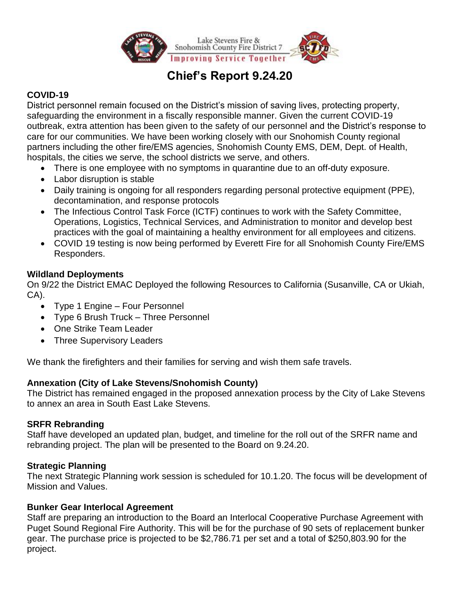

# **Chief's Report 9.24.20**

# **COVID-19**

District personnel remain focused on the District's mission of saving lives, protecting property, safeguarding the environment in a fiscally responsible manner. Given the current COVID-19 outbreak, extra attention has been given to the safety of our personnel and the District's response to care for our communities. We have been working closely with our Snohomish County regional partners including the other fire/EMS agencies, Snohomish County EMS, DEM, Dept. of Health, hospitals, the cities we serve, the school districts we serve, and others.

- There is one employee with no symptoms in quarantine due to an off-duty exposure.
- Labor disruption is stable
- Daily training is ongoing for all responders regarding personal protective equipment (PPE), decontamination, and response protocols
- The Infectious Control Task Force (ICTF) continues to work with the Safety Committee, Operations, Logistics, Technical Services, and Administration to monitor and develop best practices with the goal of maintaining a healthy environment for all employees and citizens.
- COVID 19 testing is now being performed by Everett Fire for all Snohomish County Fire/EMS Responders.

# **Wildland Deployments**

On 9/22 the District EMAC Deployed the following Resources to California (Susanville, CA or Ukiah, CA).

- Type 1 Engine Four Personnel
- Type 6 Brush Truck Three Personnel
- One Strike Team Leader
- Three Supervisory Leaders

We thank the firefighters and their families for serving and wish them safe travels.

# **Annexation (City of Lake Stevens/Snohomish County)**

The District has remained engaged in the proposed annexation process by the City of Lake Stevens to annex an area in South East Lake Stevens.

# **SRFR Rebranding**

Staff have developed an updated plan, budget, and timeline for the roll out of the SRFR name and rebranding project. The plan will be presented to the Board on 9.24.20.

# **Strategic Planning**

The next Strategic Planning work session is scheduled for 10.1.20. The focus will be development of Mission and Values.

# **Bunker Gear Interlocal Agreement**

Staff are preparing an introduction to the Board an Interlocal Cooperative Purchase Agreement with Puget Sound Regional Fire Authority. This will be for the purchase of 90 sets of replacement bunker gear. The purchase price is projected to be \$2,786.71 per set and a total of \$250,803.90 for the project.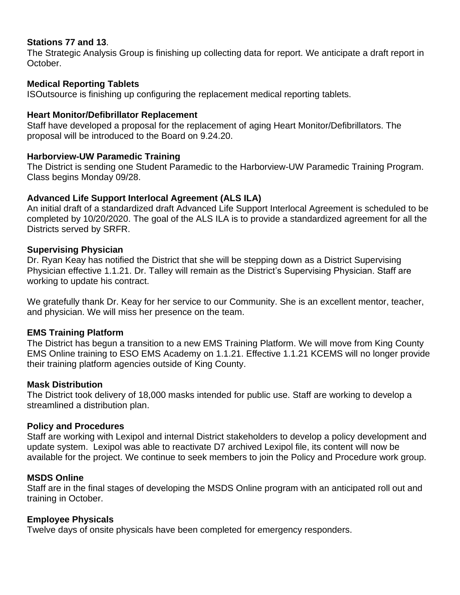## **Stations 77 and 13**.

The Strategic Analysis Group is finishing up collecting data for report. We anticipate a draft report in October.

#### **Medical Reporting Tablets**

ISOutsource is finishing up configuring the replacement medical reporting tablets.

#### **Heart Monitor/Defibrillator Replacement**

Staff have developed a proposal for the replacement of aging Heart Monitor/Defibrillators. The proposal will be introduced to the Board on 9.24.20.

#### **Harborview-UW Paramedic Training**

The District is sending one Student Paramedic to the Harborview-UW Paramedic Training Program. Class begins Monday 09/28.

#### **Advanced Life Support Interlocal Agreement (ALS ILA)**

An initial draft of a standardized draft Advanced Life Support Interlocal Agreement is scheduled to be completed by 10/20/2020. The goal of the ALS ILA is to provide a standardized agreement for all the Districts served by SRFR.

#### **Supervising Physician**

Dr. Ryan Keay has notified the District that she will be stepping down as a District Supervising Physician effective 1.1.21. Dr. Talley will remain as the District's Supervising Physician. Staff are working to update his contract.

We gratefully thank Dr. Keay for her service to our Community. She is an excellent mentor, teacher, and physician. We will miss her presence on the team.

## **EMS Training Platform**

The District has begun a transition to a new EMS Training Platform. We will move from King County EMS Online training to ESO EMS Academy on 1.1.21. Effective 1.1.21 KCEMS will no longer provide their training platform agencies outside of King County.

#### **Mask Distribution**

The District took delivery of 18,000 masks intended for public use. Staff are working to develop a streamlined a distribution plan.

#### **Policy and Procedures**

Staff are working with Lexipol and internal District stakeholders to develop a policy development and update system. Lexipol was able to reactivate D7 archived Lexipol file, its content will now be available for the project. We continue to seek members to join the Policy and Procedure work group.

#### **MSDS Online**

Staff are in the final stages of developing the MSDS Online program with an anticipated roll out and training in October.

#### **Employee Physicals**

Twelve days of onsite physicals have been completed for emergency responders.